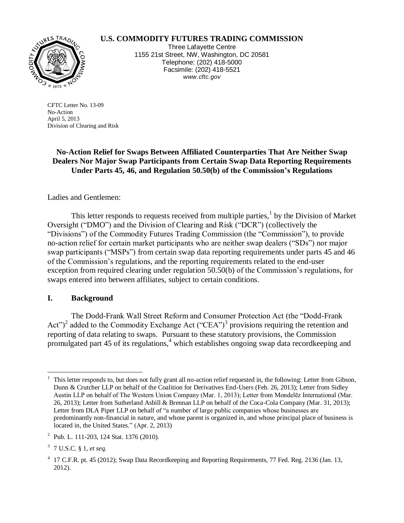# RES TRA 1975

## **U.S. COMMODITY FUTURES TRADING COMMISSION**

Three Lafayette Centre 1155 21st Street, NW, Washington, DC 20581 Telephone: (202) 418-5000 Facsimile: (202) 418-5521 *www.cftc.gov*

CFTC Letter No. 13-09 No-Action April 5, 2013 Division of Clearing and Risk

# **No-Action Relief for Swaps Between Affiliated Counterparties That Are Neither Swap Dealers Nor Major Swap Participants from Certain Swap Data Reporting Requirements Under Parts 45, 46, and Regulation 50.50(b) of the Commission's Regulations**

## Ladies and Gentlemen:

This letter responds to requests received from multiple parties,  $\frac{1}{1}$  by the Division of Market Oversight ("DMO") and the Division of Clearing and Risk ("DCR") (collectively the "Divisions") of the Commodity Futures Trading Commission (the "Commission"), to provide no-action relief for certain market participants who are neither swap dealers ("SDs") nor major swap participants ("MSPs") from certain swap data reporting requirements under parts 45 and 46 of the Commission's regulations, and the reporting requirements related to the end-user exception from required clearing under regulation 50.50(b) of the Commission's regulations, for swaps entered into between affiliates, subject to certain conditions.

## **I. Background**

The Dodd-Frank Wall Street Reform and Consumer Protection Act (the "Dodd-Frank Act")<sup>2</sup> added to the Commodity Exchange Act ("CEA")<sup>3</sup> provisions requiring the retention and reporting of data relating to swaps. Pursuant to these statutory provisions, the Commission promulgated part 45 of its regulations,  $4\pi$  which establishes ongoing swap data recordkeeping and

 $\overline{a}$ <sup>1</sup> This letter responds to, but does not fully grant all no-action relief requested in, the following: Letter from Gibson, Dunn & Crutcher LLP on behalf of the Coalition for Derivatives End-Users (Feb. 26, 2013); Letter from Sidley Austin LLP on behalf of The Western Union Company (Mar. 1, 2013); Letter from Mondelēz International (Mar. 26, 2013); Letter from Sutherland Asbill & Brennan LLP on behalf of the Coca-Cola Company (Mar. 31, 2013); Letter from DLA Piper LLP on behalf of "a number of large public companies whose businesses are predominantly non-financial in nature, and whose parent is organized in, and whose principal place of business is located in, the United States." (Apr. 2, 2013)

<sup>&</sup>lt;sup>2</sup> Pub. L. 111-203, 124 Stat. 1376 (2010).

<sup>3</sup> 7 U.S.C. § 1, *et seq.*

<sup>&</sup>lt;sup>4</sup> 17 C.F.R. pt. 45 (2012); Swap Data Recordkeeping and Reporting Requirements, 77 Fed. Reg. 2136 (Jan. 13, 2012).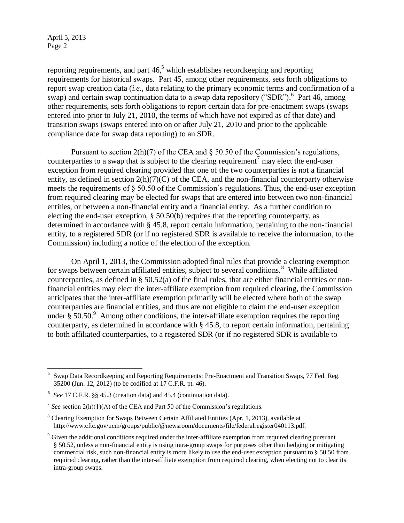reporting requirements, and part  $46<sup>5</sup>$  which establishes recordkeeping and reporting requirements for historical swaps. Part 45, among other requirements, sets forth obligations to report swap creation data (*i.e.,* data relating to the primary economic terms and confirmation of a swap) and certain swap continuation data to a swap data repository ("SDR"). 6 Part 46, among other requirements, sets forth obligations to report certain data for pre-enactment swaps (swaps entered into prior to July 21, 2010, the terms of which have not expired as of that date) and transition swaps (swaps entered into on or after July 21, 2010 and prior to the applicable compliance date for swap data reporting) to an SDR.

Pursuant to section  $2(h)(7)$  of the CEA and  $\S$  50.50 of the Commission's regulations, counterparties to a swap that is subject to the clearing requirement<sup>7</sup> may elect the end-user exception from required clearing provided that one of the two counterparties is not a financial entity, as defined in section  $2(h)(7)(C)$  of the CEA, and the non-financial counterparty otherwise meets the requirements of § 50.50 of the Commission's regulations. Thus, the end-user exception from required clearing may be elected for swaps that are entered into between two non-financial entities, or between a non-financial entity and a financial entity. As a further condition to electing the end-user exception, § 50.50(b) requires that the reporting counterparty, as determined in accordance with § 45.8, report certain information, pertaining to the non-financial entity, to a registered SDR (or if no registered SDR is available to receive the information, to the Commission) including a notice of the election of the exception.

On April 1, 2013, the Commission adopted final rules that provide a clearing exemption for swaps between certain affiliated entities, subject to several conditions.<sup>8</sup> While affiliated counterparties, as defined in § 50.52(a) of the final rules, that are either financial entities or nonfinancial entities may elect the inter-affiliate exemption from required clearing, the Commission anticipates that the inter-affiliate exemption primarily will be elected where both of the swap counterparties are financial entities, and thus are not eligible to claim the end-user exception under  $\hat{\S}$  50.50.<sup>9</sup> Among other conditions, the inter-affiliate exemption requires the reporting counterparty, as determined in accordance with § 45.8, to report certain information, pertaining to both affiliated counterparties, to a registered SDR (or if no registered SDR is available to

 $\overline{a}$ 5 Swap Data Recordkeeping and Reporting Requirements: Pre-Enactment and Transition Swaps, 77 Fed. Reg. 35200 (Jun. 12, 2012) (to be codified at 17 C.F.R. pt. 46).

<sup>6</sup> *See* 17 C.F.R. §§ 45.3 (creation data) and 45.4 (continuation data).

<sup>&</sup>lt;sup>7</sup> See section  $2(h)(1)(A)$  of the CEA and Part 50 of the Commission's regulations.

<sup>8</sup> Clearing Exemption for Swaps Between Certain Affiliated Entities (Apr. 1, 2013), available at http://www.cftc.gov/ucm/groups/public/@newsroom/documents/file/federalregister040113.pdf.

<sup>&</sup>lt;sup>9</sup> Given the additional conditions required under the inter-affiliate exemption from required clearing pursuant § 50.52, unless a non-financial entity is using intra-group swaps for purposes other than hedging or mitigating commercial risk, such non-financial entity is more likely to use the end-user exception pursuant to § 50.50 from required clearing, rather than the inter-affiliate exemption from required clearing, when electing not to clear its intra-group swaps.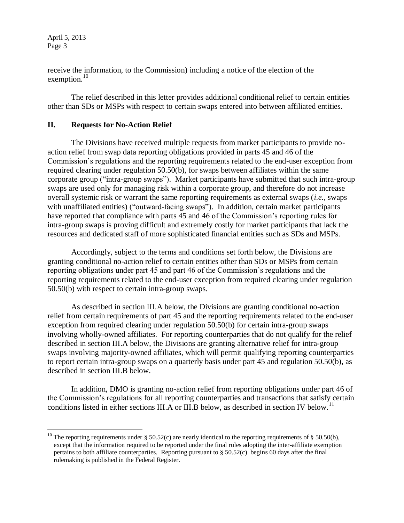$\overline{a}$ 

receive the information, to the Commission) including a notice of the election of the exemption.<sup>10</sup>

The relief described in this letter provides additional conditional relief to certain entities other than SDs or MSPs with respect to certain swaps entered into between affiliated entities.

#### **II. Requests for No-Action Relief**

The Divisions have received multiple requests from market participants to provide noaction relief from swap data reporting obligations provided in parts 45 and 46 of the Commission's regulations and the reporting requirements related to the end-user exception from required clearing under regulation 50.50(b), for swaps between affiliates within the same corporate group ("intra-group swaps"). Market participants have submitted that such intra-group swaps are used only for managing risk within a corporate group, and therefore do not increase overall systemic risk or warrant the same reporting requirements as external swaps (*i.e.*, swaps with unaffiliated entities) ("outward-facing swaps"). In addition, certain market participants have reported that compliance with parts 45 and 46 of the Commission's reporting rules for intra-group swaps is proving difficult and extremely costly for market participants that lack the resources and dedicated staff of more sophisticated financial entities such as SDs and MSPs.

Accordingly, subject to the terms and conditions set forth below, the Divisions are granting conditional no-action relief to certain entities other than SDs or MSPs from certain reporting obligations under part 45 and part 46 of the Commission's regulations and the reporting requirements related to the end-user exception from required clearing under regulation 50.50(b) with respect to certain intra-group swaps.

As described in section III.A below, the Divisions are granting conditional no-action relief from certain requirements of part 45 and the reporting requirements related to the end-user exception from required clearing under regulation 50.50(b) for certain intra-group swaps involving wholly-owned affiliates. For reporting counterparties that do not qualify for the relief described in section III.A below, the Divisions are granting alternative relief for intra-group swaps involving majority-owned affiliates, which will permit qualifying reporting counterparties to report certain intra-group swaps on a quarterly basis under part 45 and regulation 50.50(b), as described in section III.B below.

In addition, DMO is granting no-action relief from reporting obligations under part 46 of the Commission's regulations for all reporting counterparties and transactions that satisfy certain conditions listed in either sections III.A or III.B below, as described in section IV below.<sup>11</sup>

<sup>&</sup>lt;sup>10</sup> The reporting requirements under § 50.52(c) are nearly identical to the reporting requirements of § 50.50(b), except that the information required to be reported under the final rules adopting the inter-affiliate exemption pertains to both affiliate counterparties. Reporting pursuant to  $\S$  50.52(c) begins 60 days after the final rulemaking is published in the Federal Register.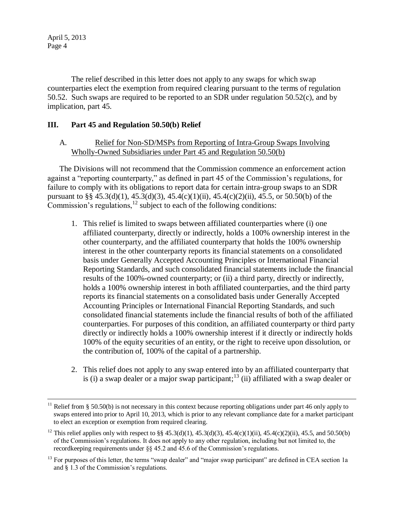$\overline{a}$ 

The relief described in this letter does not apply to any swaps for which swap counterparties elect the exemption from required clearing pursuant to the terms of regulation 50.52. Such swaps are required to be reported to an SDR under regulation 50.52(c), and by implication, part 45.

## **III. Part 45 and Regulation 50.50(b) Relief**

## A. Relief for Non-SD/MSPs from Reporting of Intra-Group Swaps Involving Wholly-Owned Subsidiaries under Part 45 and Regulation 50.50(b)

The Divisions will not recommend that the Commission commence an enforcement action against a "reporting counterparty," as defined in part 45 of the Commission's regulations, for failure to comply with its obligations to report data for certain intra-group swaps to an SDR pursuant to §§ 45.3(d)(1), 45.3(d)(3), 45.4(c)(1)(ii), 45.4(c)(2)(ii), 45.5, or 50.50(b) of the Commission's regulations, $^{12}$  subject to each of the following conditions:

- 1. This relief is limited to swaps between affiliated counterparties where (i) one affiliated counterparty, directly or indirectly, holds a 100% ownership interest in the other counterparty, and the affiliated counterparty that holds the 100% ownership interest in the other counterparty reports its financial statements on a consolidated basis under Generally Accepted Accounting Principles or International Financial Reporting Standards, and such consolidated financial statements include the financial results of the 100%-owned counterparty; or (ii) a third party, directly or indirectly, holds a 100% ownership interest in both affiliated counterparties, and the third party reports its financial statements on a consolidated basis under Generally Accepted Accounting Principles or International Financial Reporting Standards, and such consolidated financial statements include the financial results of both of the affiliated counterparties. For purposes of this condition, an affiliated counterparty or third party directly or indirectly holds a 100% ownership interest if it directly or indirectly holds 100% of the equity securities of an entity, or the right to receive upon dissolution, or the contribution of, 100% of the capital of a partnership.
- 2. This relief does not apply to any swap entered into by an affiliated counterparty that is (i) a swap dealer or a major swap participant;<sup>13</sup> (ii) affiliated with a swap dealer or

Relief from § 50.50(b) is not necessary in this context because reporting obligations under part 46 only apply to swaps entered into prior to April 10, 2013, which is prior to any relevant compliance date for a market participant to elect an exception or exemption from required clearing.

<sup>&</sup>lt;sup>12</sup> This relief applies only with respect to §§ 45.3(d)(1), 45.3(d)(3), 45.4(c)(1)(ii), 45.4(c)(2)(ii), 45.5, and 50.50(b) of the Commission's regulations. It does not apply to any other regulation, including but not limited to, the recordkeeping requirements under §§ 45.2 and 45.6 of the Commission's regulations.

<sup>&</sup>lt;sup>13</sup> For purposes of this letter, the terms "swap dealer" and "major swap participant" are defined in CEA section 1a and § 1.3 of the Commission's regulations.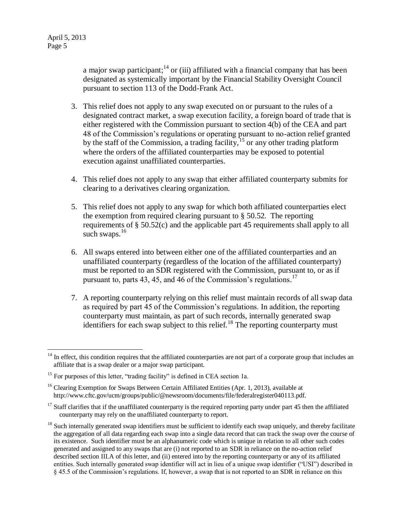a major swap participant;  $14$  or (iii) affiliated with a financial company that has been designated as systemically important by the Financial Stability Oversight Council pursuant to section 113 of the Dodd-Frank Act.

- 3. This relief does not apply to any swap executed on or pursuant to the rules of a designated contract market, a swap execution facility, a foreign board of trade that is either registered with the Commission pursuant to section 4(b) of the CEA and part 48 of the Commission's regulations or operating pursuant to no-action relief granted by the staff of the Commission, a trading facility,<sup>15</sup> or any other trading platform where the orders of the affiliated counterparties may be exposed to potential execution against unaffiliated counterparties.
- 4. This relief does not apply to any swap that either affiliated counterparty submits for clearing to a derivatives clearing organization.
- 5. This relief does not apply to any swap for which both affiliated counterparties elect the exemption from required clearing pursuant to § 50.52. The reporting requirements of § 50.52(c) and the applicable part 45 requirements shall apply to all such swaps.<sup>16</sup>
- 6. All swaps entered into between either one of the affiliated counterparties and an unaffiliated counterparty (regardless of the location of the affiliated counterparty) must be reported to an SDR registered with the Commission, pursuant to, or as if pursuant to, parts 43, 45, and 46 of the Commission's regulations.<sup>17</sup>
- 7. A reporting counterparty relying on this relief must maintain records of all swap data as required by part 45 of the Commission's regulations. In addition, the reporting counterparty must maintain, as part of such records, internally generated swap identifiers for each swap subject to this relief.<sup>18</sup> The reporting counterparty must

 $\overline{a}$  $14$  In effect, this condition requires that the affiliated counterparties are not part of a corporate group that includes an affiliate that is a swap dealer or a major swap participant.

<sup>&</sup>lt;sup>15</sup> For purposes of this letter, "trading facility" is defined in CEA section 1a.

<sup>&</sup>lt;sup>16</sup> Clearing Exemption for Swaps Between Certain Affiliated Entities (Apr. 1, 2013), available at http://www.cftc.gov/ucm/groups/public/@newsroom/documents/file/federalregister040113.pdf.

 $17$  Staff clarifies that if the unaffiliated counterparty is the required reporting party under part 45 then the affiliated counterparty may rely on the unaffiliated counterparty to report.

 $18$  Such internally generated swap identifiers must be sufficient to identify each swap uniquely, and thereby facilitate the aggregation of all data regarding each swap into a single data record that can track the swap over the course of its existence. Such identifier must be an alphanumeric code which is unique in relation to all other such codes generated and assigned to any swaps that are (i) not reported to an SDR in reliance on the no-action relief described section III.A of this letter, and (ii) entered into by the reporting counterparty or any of its affiliated entities. Such internally generated swap identifier will act in lieu of a unique swap identifier ("USI") described in § 45.5 of the Commission's regulations. If, however, a swap that is not reported to an SDR in reliance on this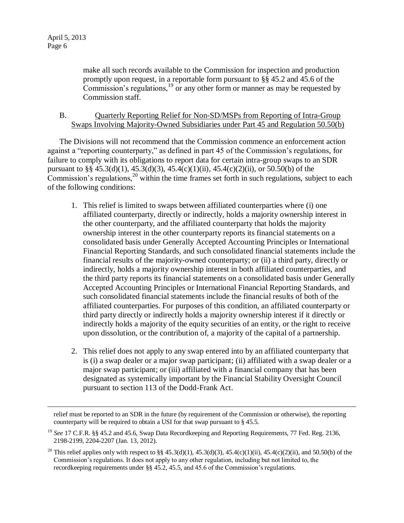$\overline{a}$ 

make all such records available to the Commission for inspection and production promptly upon request, in a reportable form pursuant to §§ 45.2 and 45.6 of the Commission's regulations,  $\frac{19}{19}$  or any other form or manner as may be requested by Commission staff.

#### B. Quarterly Reporting Relief for Non-SD/MSPs from Reporting of Intra-Group Swaps Involving Majority-Owned Subsidiaries under Part 45 and Regulation 50.50(b)

The Divisions will not recommend that the Commission commence an enforcement action against a "reporting counterparty," as defined in part 45 of the Commission's regulations, for failure to comply with its obligations to report data for certain intra-group swaps to an SDR pursuant to §§ 45.3(d)(1), 45.3(d)(3), 45.4(c)(1)(ii), 45.4(c)(2)(ii), or 50.50(b) of the Commission's regulations,  $20$  within the time frames set forth in such regulations, subject to each of the following conditions:

- 1. This relief is limited to swaps between affiliated counterparties where (i) one affiliated counterparty, directly or indirectly, holds a majority ownership interest in the other counterparty, and the affiliated counterparty that holds the majority ownership interest in the other counterparty reports its financial statements on a consolidated basis under Generally Accepted Accounting Principles or International Financial Reporting Standards, and such consolidated financial statements include the financial results of the majority-owned counterparty; or (ii) a third party, directly or indirectly, holds a majority ownership interest in both affiliated counterparties, and the third party reports its financial statements on a consolidated basis under Generally Accepted Accounting Principles or International Financial Reporting Standards, and such consolidated financial statements include the financial results of both of the affiliated counterparties. For purposes of this condition, an affiliated counterparty or third party directly or indirectly holds a majority ownership interest if it directly or indirectly holds a majority of the equity securities of an entity, or the right to receive upon dissolution, or the contribution of, a majority of the capital of a partnership.
- 2. This relief does not apply to any swap entered into by an affiliated counterparty that is (i) a swap dealer or a major swap participant; (ii) affiliated with a swap dealer or a major swap participant; or (iii) affiliated with a financial company that has been designated as systemically important by the Financial Stability Oversight Council pursuant to section 113 of the Dodd-Frank Act.

relief must be reported to an SDR in the future (by requirement of the Commission or otherwise), the reporting counterparty will be required to obtain a USI for that swap pursuant to § 45.5.

<sup>19</sup> *See* 17 C.F.R. §§ 45.2 and 45.6, Swap Data Recordkeeping and Reporting Requirements, 77 Fed. Reg. 2136, 2198-2199, 2204-2207 (Jan. 13, 2012).

<sup>&</sup>lt;sup>20</sup> This relief applies only with respect to §§ 45.3(d)(1), 45.3(d)(3), 45.4(c)(1)(ii), 45.4(c)(2)(ii), and 50.50(b) of the Commission's regulations. It does not apply to any other regulation, including but not limited to, the recordkeeping requirements under §§ 45.2, 45.5, and 45.6 of the Commission's regulations.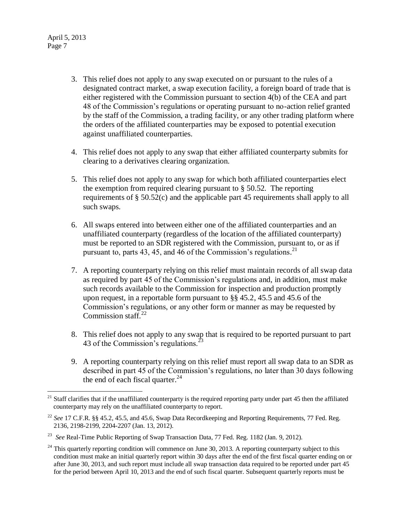- 3. This relief does not apply to any swap executed on or pursuant to the rules of a designated contract market, a swap execution facility, a foreign board of trade that is either registered with the Commission pursuant to section 4(b) of the CEA and part 48 of the Commission's regulations or operating pursuant to no-action relief granted by the staff of the Commission, a trading facility, or any other trading platform where the orders of the affiliated counterparties may be exposed to potential execution against unaffiliated counterparties.
- 4. This relief does not apply to any swap that either affiliated counterparty submits for clearing to a derivatives clearing organization.
- 5. This relief does not apply to any swap for which both affiliated counterparties elect the exemption from required clearing pursuant to § 50.52. The reporting requirements of  $\S$  50.52(c) and the applicable part 45 requirements shall apply to all such swaps.
- 6. All swaps entered into between either one of the affiliated counterparties and an unaffiliated counterparty (regardless of the location of the affiliated counterparty) must be reported to an SDR registered with the Commission, pursuant to, or as if pursuant to, parts 43, 45, and 46 of the Commission's regulations.<sup>21</sup>
- 7. A reporting counterparty relying on this relief must maintain records of all swap data as required by part 45 of the Commission's regulations and, in addition, must make such records available to the Commission for inspection and production promptly upon request, in a reportable form pursuant to §§ 45.2, 45.5 and 45.6 of the Commission's regulations, or any other form or manner as may be requested by Commission staff. $22$
- 8. This relief does not apply to any swap that is required to be reported pursuant to part 43 of the Commission's regulations.<sup>2</sup>
- 9. A reporting counterparty relying on this relief must report all swap data to an SDR as described in part 45 of the Commission's regulations, no later than 30 days following the end of each fiscal quarter. $^{24}$

 $\overline{a}$  $21$  Staff clarifies that if the unaffiliated counterparty is the required reporting party under part 45 then the affiliated counterparty may rely on the unaffiliated counterparty to report.

<sup>&</sup>lt;sup>22</sup> See 17 C.F.R. §§ 45.2, 45.5, and 45.6, Swap Data Recordkeeping and Reporting Requirements, 77 Fed. Reg. 2136, 2198-2199, 2204-2207 (Jan. 13, 2012).

<sup>&</sup>lt;sup>23</sup> See Real-Time Public Reporting of Swap Transaction Data, 77 Fed. Reg. 1182 (Jan. 9, 2012).

 $^{24}$  This quarterly reporting condition will commence on June 30, 2013. A reporting counterparty subject to this condition must make an initial quarterly report within 30 days after the end of the first fiscal quarter ending on or after June 30, 2013, and such report must include all swap transaction data required to be reported under part 45 for the period between April 10, 2013 and the end of such fiscal quarter. Subsequent quarterly reports must be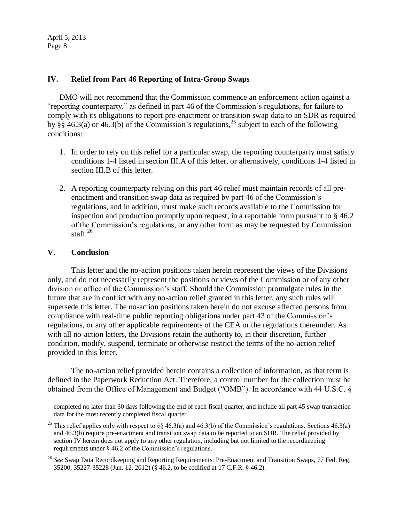#### **IV. Relief from Part 46 Reporting of Intra-Group Swaps**

DMO will not recommend that the Commission commence an enforcement action against a "reporting counterparty," as defined in part 46 of the Commission's regulations, for failure to comply with its obligations to report pre-enactment or transition swap data to an SDR as required by §§ 46.3(a) or 46.3(b) of the Commission's regulations,<sup>25</sup> subject to each of the following conditions:

- 1. In order to rely on this relief for a particular swap, the reporting counterparty must satisfy conditions 1-4 listed in section III.A of this letter, or alternatively, conditions 1-4 listed in section III.B of this letter.
- 2. A reporting counterparty relying on this part 46 relief must maintain records of all preenactment and transition swap data as required by part 46 of the Commission's regulations, and in addition, must make such records available to the Commission for inspection and production promptly upon request, in a reportable form pursuant to  $\S$  46.2 of the Commission's regulations, or any other form as may be requested by Commission staff. 26

## **V. Conclusion**

 $\overline{a}$ 

This letter and the no-action positions taken herein represent the views of the Divisions only, and do not necessarily represent the positions or views of the Commission or of any other division or office of the Commission's staff. Should the Commission promulgate rules in the future that are in conflict with any no-action relief granted in this letter, any such rules will supersede this letter. The no-action positions taken herein do not excuse affected persons from compliance with real-time public reporting obligations under part 43 of the Commission's regulations, or any other applicable requirements of the CEA or the regulations thereunder. As with all no-action letters, the Divisions retain the authority to, in their discretion, further condition, modify, suspend, terminate or otherwise restrict the terms of the no-action relief provided in this letter.

The no-action relief provided herein contains a collection of information, as that term is defined in the Paperwork Reduction Act. Therefore, a control number for the collection must be obtained from the Office of Management and Budget ("OMB"). In accordance with 44 U.S.C. §

completed no later than 30 days following the end of each fiscal quarter, and include all part 45 swap transaction data for the most recently completed fiscal quarter.

<sup>&</sup>lt;sup>25</sup> This relief applies only with respect to §§ 46.3(a) and 46.3(b) of the Commission's regulations. Sections 46.3(a) and 46.3(b) require pre-enactment and transition swap data to be reported to an SDR. The relief provided by section IV herein does not apply to any other regulation, including but not limited to the recordkeeping requirements under § 46.2 of the Commission's regulations.

<sup>26</sup> *See* Swap Data Recordkeeping and Reporting Requirements: Pre-Enactment and Transition Swaps, 77 Fed. Reg. 35200, 35227-35228 (Jun. 12, 2012) (§ 46.2, to be codified at 17 C.F.R. § 46.2).